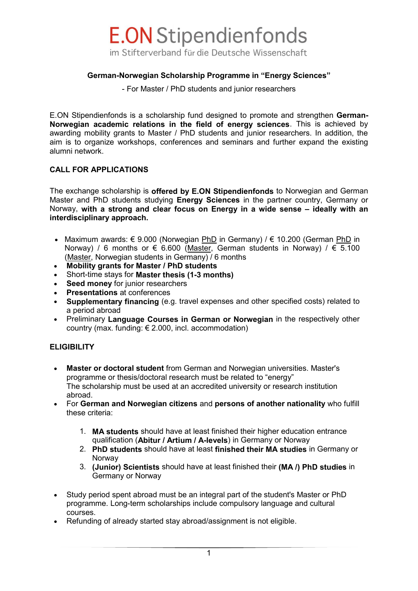

#### **German-Norwegian Scholarship Programme in "Energy Sciences"**

- For Master / PhD students and junior researchers

E.ON Stipendienfonds is a scholarship fund designed to promote and strengthen **German-Norwegian academic relations in the field of energy sciences**. This is achieved by awarding mobility grants to Master / PhD students and junior researchers. In addition, the aim is to organize workshops, conferences and seminars and further expand the existing alumni network.

#### **CALL FOR APPLICATIONS**

The exchange scholarship is **offered by E.ON Stipendienfonds** to Norwegian and German Master and PhD students studying **Energy Sciences** in the partner country, Germany or Norway, **with a strong and clear focus on Energy in a wide sense – ideally with an interdisciplinary approach.**

- Maximum awards: € 9.000 (Norwegian PhD in Germany) /  $∈$  10.200 (German PhD in Norway) / 6 months or  $\epsilon$  6.600 (Master, German students in Norway) /  $\epsilon$  5.100 (Master, Norwegian students in Germany) / 6 months
- **Mobility grants for Master / PhD students**
- Short-time stays for **Master thesis (1-3 months)**
- **Seed money** for junior researchers
- **Presentations** at conferences
- **Supplementary financing** (e.g. travel expenses and other specified costs) related to a period abroad
- [Preliminary](http://dict.leo.org/ende/index_en.html#/search=preliminary&searchLoc=0&resultOrder=basic&multiwordShowSingle=on) **Language Courses in German or Norwegian** in the respectively other country (max. funding:  $\epsilon$  2.000, incl. accommodation)

#### **ELIGIBILITY**

- **Master or doctoral student** from German and Norwegian universities. Master's programme or thesis/doctoral research must be related to "energy" The scholarship must be used at an accredited university or research institution abroad.
- For **German and Norwegian citizens** and **persons of another nationality** who fulfill these criteria:
	- 1. **MA students** should have at least finished their higher education entrance qualification (**Abitur / Artium / A-levels**) in Germany or Norway
	- 2. **PhD students** should have at least **finished their MA studies** in Germany or Norway
	- 3. **(Junior) Scientists** should have at least finished their **(MA /) PhD studies** in Germany or Norway
- Study period spent abroad must be an integral part of the student's Master or PhD programme. Long-term scholarships include compulsory language and cultural courses.
- Refunding of already started stay abroad/assignment is not eligible.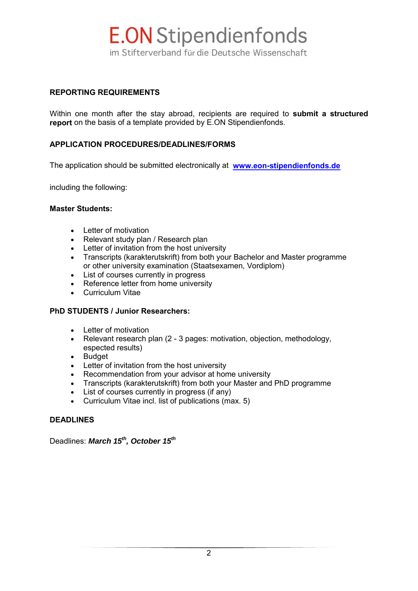

#### **REPORTING REQUIREMENTS**

Within one month after the stay abroad, recipients are required to **submit a structured report** on the basis of a template provided by E.ON Stipendienfonds.

#### **APPLICATION PROCEDURES/DEADLINES/FORMS**

The application should be submitted electronically at **[www.eon-stipendienfonds.de](http://www.eon-stipendienfonds.de/)**

including the following:

#### **Master Students:**

- Letter of motivation
- Relevant study plan / Research plan
- Letter of invitation from the host university
- Transcripts (karakterutskrift) from both your Bachelor and Master programme or other university examination (Staatsexamen, Vordiplom)
- List of courses currently in progress
- Reference letter from home university
- Curriculum Vitae

#### **PhD STUDENTS / Junior Researchers:**

- Letter of motivation
- Relevant research plan (2 3 pages: motivation, objection, methodology, espected results)
- Budget
- Letter of invitation from the host university
- Recommendation from your advisor at home university
- Transcripts (karakterutskrift) from both your Master and PhD programme
- List of courses currently in progress (if any)
- Curriculum Vitae incl. list of publications (max. 5)

#### **DEADLINES**

Deadlines: *March 15th, October 15th*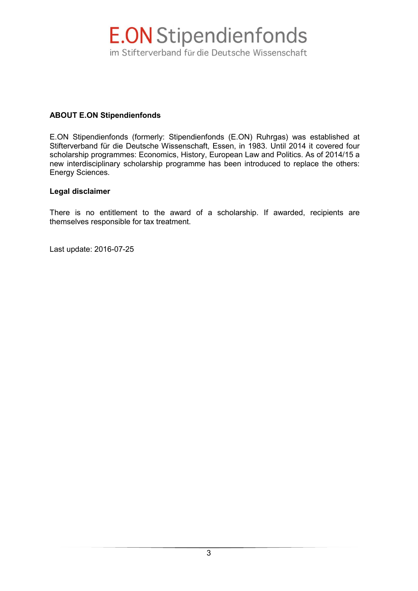

#### **ABOUT E.ON Stipendienfonds**

E.ON Stipendienfonds (formerly: Stipendienfonds (E.ON) Ruhrgas) was established at Stifterverband für die Deutsche Wissenschaft, Essen, in 1983. Until 2014 it covered four scholarship programmes: Economics, History, European Law and Politics. As of 2014/15 a new interdisciplinary scholarship programme has been introduced to replace the others: Energy Sciences.

#### **Legal disclaimer**

There is no entitlement to the award of a scholarship. If awarded, recipients are themselves responsible for tax treatment.

Last update: 2016-07-25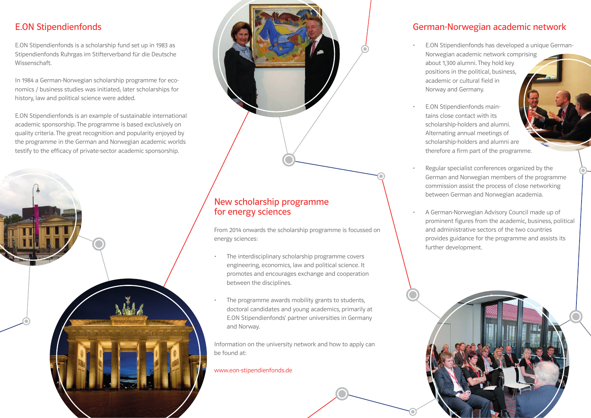## E.ON Stipendienfonds

E.ON Stipendienfonds is a scholarship fund set up in 1983 as Stipendienfonds Ruhrgas im Stifterverband für die Deutsche Wissenschaft.

In 1984 a German-Norwegian scholarship programme for economics / business studies was initiated; later scholarships for history, law and political science were added.

E.ON Stipendienfonds is an example of sustainable international academic sponsorship. The programme is based exclusively on quality criteria. The great recognition and popularity enjoyed by the programme in the German and Norwegian academic worlds testify to the efficacy of private-sector academic sponsorship.





## New scholarship programme for energy sciences

From 2014 onwards the scholarship programme is focussed on energy sciences:

- The interdisciplinary scholarship programme covers engineering, economics, law and political science. It promotes and encourages exchange and cooperation between the disciplines.
- The programme awards mobility grants to students, doctoral candidates and young academics, primarily at E.ON Stipendienfonds' partner universities in Germany and Norway.

Information on the university network and how to apply can be found at:

#### www.eon-stipendienfonds.de

## German-Norwegian academic network

- E.ON Stipendienfonds has developed a unique German-Norwegian academic network comprising about 1,300 alumni. They hold key positions in the political, business, academic or cultural field in Norway and Germany.
- E.ON Stipendienfonds maintains close contact with its scholarship-holders and alumni. Alternating annual meetings of scholarship-holders and alumni are therefore a firm part of the programme.
- Regular specialist conferences organized by the German and Norwegian members of the programme commission assist the process of close networking between German and Norwegian academia.
- A German-Norwegian Advisory Council made up of prominent figures from the academic, business, political and administrative sectors of the two countries provides guidance for the programme and assists its further development.